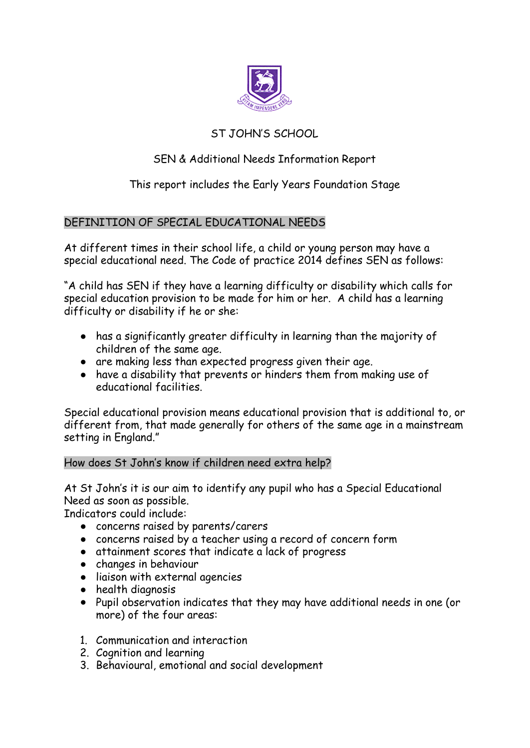

# ST JOHN'S SCHOOL

# SEN & Additional Needs Information Report

# This report includes the Early Years Foundation Stage

# DEFINITION OF SPECIAL EDUCATIONAL NEEDS

At different times in their school life, a child or young person may have a special educational need. The Code of practice 2014 defines SEN as follows:

"A child has SEN if they have a learning difficulty or disability which calls for special education provision to be made for him or her. A child has a learning difficulty or disability if he or she:

- has a significantly greater difficulty in learning than the majority of children of the same age.
- are making less than expected progress given their age.
- have a disability that prevents or hinders them from making use of educational facilities.

Special educational provision means educational provision that is additional to, or different from, that made generally for others of the same age in a mainstream setting in England."

## How does St John's know if children need extra help?

At St John's it is our aim to identify any pupil who has a Special Educational Need as soon as possible.

Indicators could include:

- concerns raised by parents/carers
- concerns raised by a teacher using a record of concern form
- attainment scores that indicate a lack of progress
- changes in behaviour
- liaison with external agencies
- health diagnosis
- Pupil observation indicates that they may have additional needs in one (or more) of the four areas:
- 1. Communication and interaction
- 2. Cognition and learning
- 3. Behavioural, emotional and social development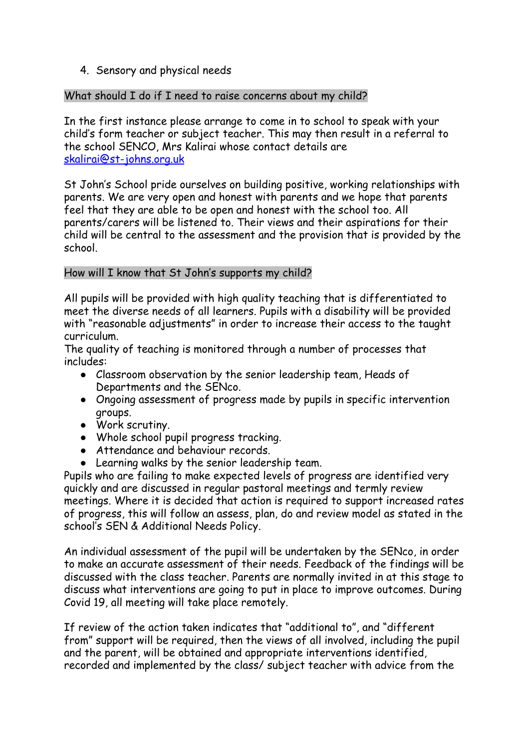## 4. Sensory and physical needs

## What should I do if I need to raise concerns about my child?

In the first instance please arrange to come in to school to speak with your child's form teacher or subject teacher. This may then result in a referral to the school SENCO, Mrs Kalirai whose contact details are [skalirai@st-johns.org.uk](mailto:skalirai@st-johns.org.uk)

St John's School pride ourselves on building positive, working relationships with parents. We are very open and honest with parents and we hope that parents feel that they are able to be open and honest with the school too. All parents/carers will be listened to. Their views and their aspirations for their child will be central to the assessment and the provision that is provided by the school.

## How will I know that St John's supports my child?

All pupils will be provided with high quality teaching that is differentiated to meet the diverse needs of all learners. Pupils with a disability will be provided with "reasonable adjustments" in order to increase their access to the taught curriculum.

The quality of teaching is monitored through a number of processes that includes:

- Classroom observation by the senior leadership team, Heads of Departments and the SENco.
- Ongoing assessment of progress made by pupils in specific intervention groups.
- Work scrutiny.
- Whole school pupil progress tracking.
- Attendance and behaviour records.
- Learning walks by the senior leadership team.

Pupils who are failing to make expected levels of progress are identified very quickly and are discussed in regular pastoral meetings and termly review meetings. Where it is decided that action is required to support increased rates of progress, this will follow an assess, plan, do and review model as stated in the school's SEN & Additional Needs Policy.

An individual assessment of the pupil will be undertaken by the SENco, in order to make an accurate assessment of their needs. Feedback of the findings will be discussed with the class teacher. Parents are normally invited in at this stage to discuss what interventions are going to put in place to improve outcomes. During Covid 19, all meeting will take place remotely.

If review of the action taken indicates that "additional to", and "different from" support will be required, then the views of all involved, including the pupil and the parent, will be obtained and appropriate interventions identified, recorded and implemented by the class/ subject teacher with advice from the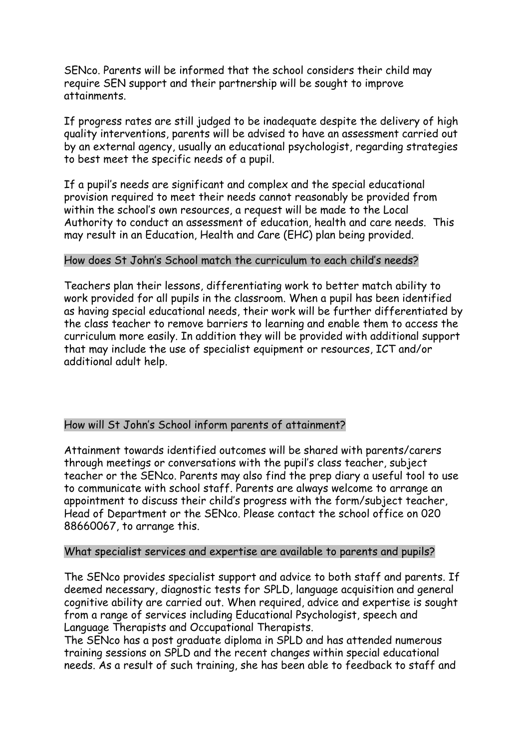SENco. Parents will be informed that the school considers their child may require SEN support and their partnership will be sought to improve attainments.

If progress rates are still judged to be inadequate despite the delivery of high quality interventions, parents will be advised to have an assessment carried out by an external agency, usually an educational psychologist, regarding strategies to best meet the specific needs of a pupil.

If a pupil's needs are significant and complex and the special educational provision required to meet their needs cannot reasonably be provided from within the school's own resources, a request will be made to the Local Authority to conduct an assessment of education, health and care needs. This may result in an Education, Health and Care (EHC) plan being provided.

#### How does St John's School match the curriculum to each child's needs?

Teachers plan their lessons, differentiating work to better match ability to work provided for all pupils in the classroom. When a pupil has been identified as having special educational needs, their work will be further differentiated by the class teacher to remove barriers to learning and enable them to access the curriculum more easily. In addition they will be provided with additional support that may include the use of specialist equipment or resources, ICT and/or additional adult help.

## How will St John's School inform parents of attainment?

Attainment towards identified outcomes will be shared with parents/carers through meetings or conversations with the pupil's class teacher, subject teacher or the SENco. Parents may also find the prep diary a useful tool to use to communicate with school staff. Parents are always welcome to arrange an appointment to discuss their child's progress with the form/subject teacher, Head of Department or the SENco. Please contact the school office on 020 88660067, to arrange this.

#### What specialist services and expertise are available to parents and pupils?

The SENco provides specialist support and advice to both staff and parents. If deemed necessary, diagnostic tests for SPLD, language acquisition and general cognitive ability are carried out. When required, advice and expertise is sought from a range of services including Educational Psychologist, speech and Language Therapists and Occupational Therapists.

The SENco has a post graduate diploma in SPLD and has attended numerous training sessions on SPLD and the recent changes within special educational needs. As a result of such training, she has been able to feedback to staff and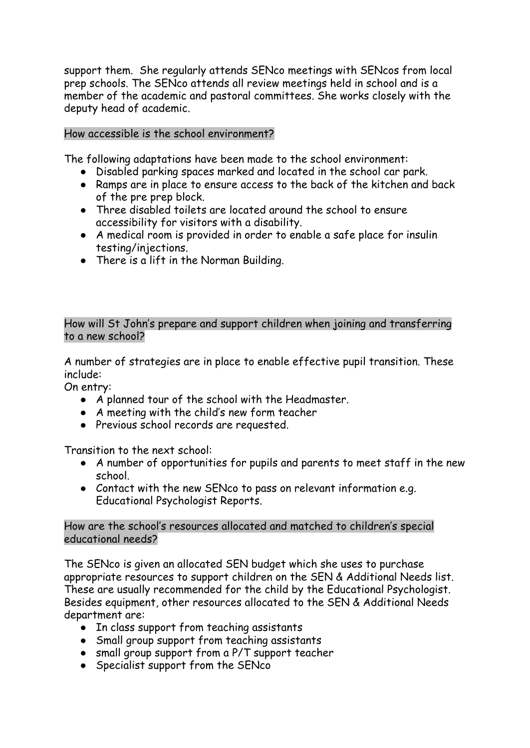support them. She regularly attends SENco meetings with SENcos from local prep schools. The SENco attends all review meetings held in school and is a member of the academic and pastoral committees. She works closely with the deputy head of academic.

### How accessible is the school environment?

The following adaptations have been made to the school environment:

- Disabled parking spaces marked and located in the school car park.
- Ramps are in place to ensure access to the back of the kitchen and back of the pre prep block.
- Three disabled toilets are located around the school to ensure accessibility for visitors with a disability.
- A medical room is provided in order to enable a safe place for insulin testing/injections.
- There is a lift in the Norman Building.

How will St John's prepare and support children when joining and transferring to a new school?

A number of strategies are in place to enable effective pupil transition. These include:

On entry:

- A planned tour of the school with the Headmaster.
- A meeting with the child's new form teacher
- Previous school records are requested.

Transition to the next school:

- A number of opportunities for pupils and parents to meet staff in the new school.
- Contact with the new SENco to pass on relevant information e.g. Educational Psychologist Reports.

How are the school's resources allocated and matched to children's special educational needs?

The SENco is given an allocated SEN budget which she uses to purchase appropriate resources to support children on the SEN & Additional Needs list. These are usually recommended for the child by the Educational Psychologist. Besides equipment, other resources allocated to the SEN & Additional Needs department are:

- In class support from teaching assistants
- Small group support from teaching assistants
- small group support from a P/T support teacher
- Specialist support from the SENco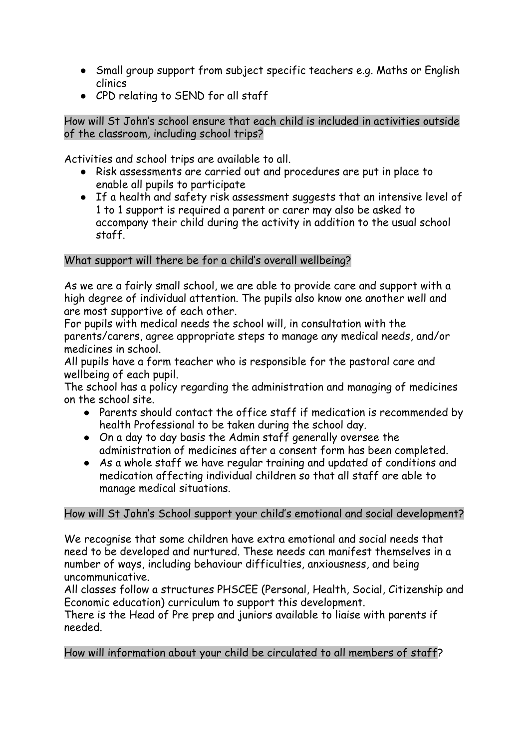- Small group support from subject specific teachers e.g. Maths or English clinics
- CPD relating to SEND for all staff

# How will St John's school ensure that each child is included in activities outside of the classroom, including school trips?

Activities and school trips are available to all.

- Risk assessments are carried out and procedures are put in place to enable all pupils to participate
- If a health and safety risk assessment suggests that an intensive level of 1 to 1 support is required a parent or carer may also be asked to accompany their child during the activity in addition to the usual school staff.

# What support will there be for a child's overall wellbeing?

As we are a fairly small school, we are able to provide care and support with a high degree of individual attention. The pupils also know one another well and are most supportive of each other.

For pupils with medical needs the school will, in consultation with the parents/carers, agree appropriate steps to manage any medical needs, and/or medicines in school.

All pupils have a form teacher who is responsible for the pastoral care and wellbeing of each pupil.

The school has a policy regarding the administration and managing of medicines on the school site.

- Parents should contact the office staff if medication is recommended by health Professional to be taken during the school day.
- On a day to day basis the Admin staff generally oversee the administration of medicines after a consent form has been completed.
- As a whole staff we have regular training and updated of conditions and medication affecting individual children so that all staff are able to manage medical situations.

# How will St John's School support your child's emotional and social development?

We recognise that some children have extra emotional and social needs that need to be developed and nurtured. These needs can manifest themselves in a number of ways, including behaviour difficulties, anxiousness, and being uncommunicative.

All classes follow a structures PHSCEE (Personal, Health, Social, Citizenship and Economic education) curriculum to support this development.

There is the Head of Pre prep and juniors available to liaise with parents if needed.

How will information about your child be circulated to all members of staff?